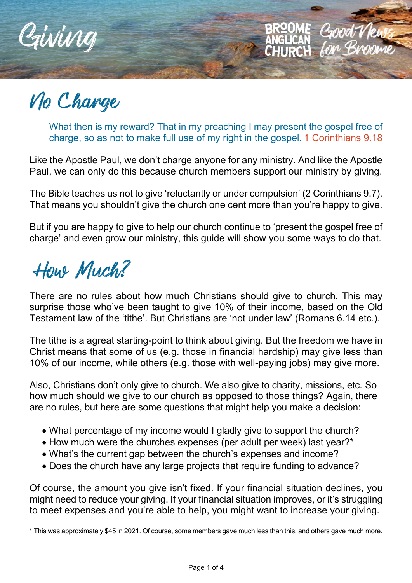

No Charge

What then is my reward? That in my preaching I may present the gospel free of charge, so as not to make full use of my right in the gospel. 1 Corinthians 9.18

Good V

**AHIRAH** 

Like the Apostle Paul, we don't charge anyone for any ministry. And like the Apostle Paul, we can only do this because church members support our ministry by giving.

The Bible teaches us not to give 'reluctantly or under compulsion' (2 Corinthians 9.7). That means you shouldn't give the church one cent more than you're happy to give.

But if you are happy to give to help our church continue to 'present the gospel free of charge' and even grow our ministry, this guide will show you some ways to do that.

How Much?

There are no rules about how much Christians should give to church. This may surprise those who've been taught to give 10% of their income, based on the Old Testament law of the 'tithe'. But Christians are 'not under law' (Romans 6.14 etc.).

The tithe is a agreat starting-point to think about giving. But the freedom we have in Christ means that some of us (e.g. those in financial hardship) may give less than 10% of our income, while others (e.g. those with well-paying jobs) may give more.

Also, Christians don't only give to church. We also give to charity, missions, etc. So how much should we give to our church as opposed to those things? Again, there are no rules, but here are some questions that might help you make a decision:

- What percentage of my income would I gladly give to support the church?
- How much were the churches expenses (per adult per week) last year?\*
- What's the current gap between the church's expenses and income?
- Does the church have any large projects that require funding to advance?

Of course, the amount you give isn't fixed. If your financial situation declines, you might need to reduce your giving. If your financial situation improves, or it's struggling to meet expenses and you're able to help, you might want to increase your giving.

\* This was approximately \$45 in 2021. Of course, some members gave much less than this, and others gave much more.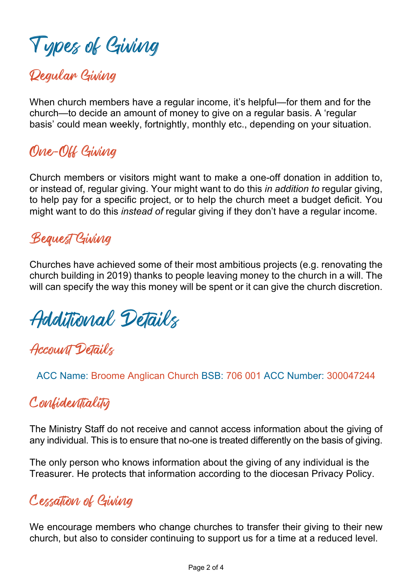# Types of Giving

## Regular Giving

When church members have a regular income, it's helpful—for them and for the church—to decide an amount of money to give on a regular basis. A 'regular basis' could mean weekly, fortnightly, monthly etc., depending on your situation.

## One-Off Giving

Church members or visitors might want to make a one-off donation in addition to, or instead of, regular giving. Your might want to do this *in addition to* regular giving, to help pay for a specific project, or to help the church meet a budget deficit. You might want to do this *instead of* regular giving if they don't have a regular income.

## Bequest Giving

Churches have achieved some of their most ambitious projects (e.g. renovating the church building in 2019) thanks to people leaving money to the church in a will. The will can specify the way this money will be spent or it can give the church discretion.

Additional Details

## Account Details

ACC Name: Broome Anglican Church BSB: 706 001 ACC Number: 300047244

## Confidentiality

The Ministry Staff do not receive and cannot access information about the giving of any individual. This is to ensure that no-one is treated differently on the basis of giving.

The only person who knows information about the giving of any individual is the Treasurer. He protects that information according to the diocesan Privacy Policy.

## Cessation of Giving

We encourage members who change churches to transfer their giving to their new church, but also to consider continuing to support us for a time at a reduced level.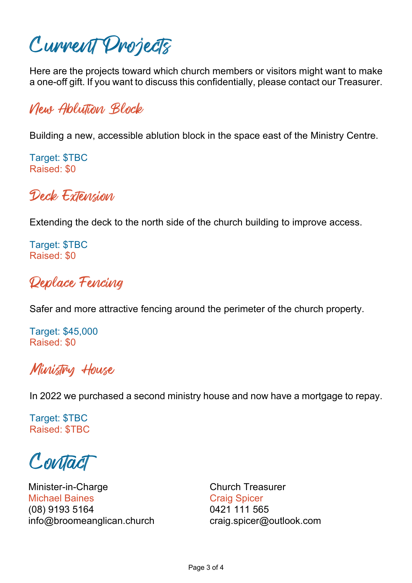Current Projects

Here are the projects toward which church members or visitors might want to make a one-off gift. If you want to discuss this confidentially, please contact our Treasurer.

New Ablution Block

Building a new, accessible ablution block in the space east of the Ministry Centre.

Target: \$TBC Raised: \$0

Deck Extension

Extending the deck to the north side of the church building to improve access.

Target: \$TBC Raised: \$0

#### Replace Fencing

Safer and more attractive fencing around the perimeter of the church property.

Target: \$45,000 Raised: \$0

#### Ministry House

In 2022 we purchased a second ministry house and now have a mortgage to repay.

Target: \$TBC Raised: \$TBC

Contact

Minister-in-Charge Michael Baines (08) 9193 5164 info@broomeanglican.church Church Treasurer Craig Spicer 0421 111 565 craig.spicer@outlook.com